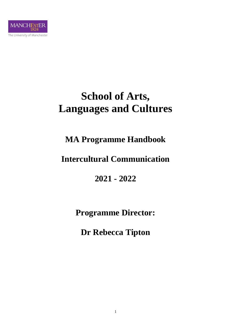

# **School of Arts, Languages and Cultures**

# **MA Programme Handbook**

# **Intercultural Communication**

**2021 - 2022**

**Programme Director:**

**Dr Rebecca Tipton**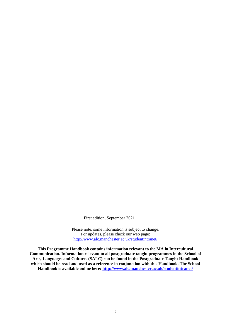First edition, September 2021

Please note, some information is subject to change. For updates, please check our web page: <http://www.alc.manchester.ac.uk/studentintranet/>

**This Programme Handbook contains information relevant to the MA in Intercultural Communication. Information relevant to all postgraduate taught programmes in the School of Arts, Languages and Cultures (SALC) can be found in the Postgraduate Taught Handbook which should be read and used as a reference in conjunction with this Handbook. The School Handbook is available online here:<http://www.alc.manchester.ac.uk/studentintranet/>**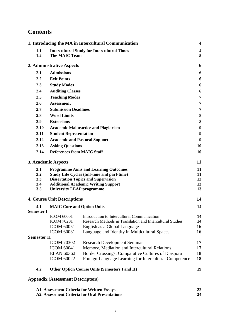# **Contents**

|                    |                                          | 1. Introducing the MA in Intercultural Communication                                 | $\overline{\mathbf{4}}$ |
|--------------------|------------------------------------------|--------------------------------------------------------------------------------------|-------------------------|
| 1.1                |                                          | <b>Intercultural Study for Intercultural Times</b>                                   | $\overline{\mathbf{4}}$ |
| 1.2                | <b>The MAIC Team</b>                     |                                                                                      | 5                       |
|                    | 2. Administrative Aspects                |                                                                                      | 6                       |
| 2.1                | <b>Admissions</b>                        |                                                                                      | 6                       |
| $2.2\,$            | <b>Exit Points</b>                       |                                                                                      | 6                       |
| 2.3                | <b>Study Modes</b>                       |                                                                                      | 6                       |
| 2.4                | <b>Auditing Classes</b>                  |                                                                                      | 6                       |
| 2.5                | <b>Teaching Modes</b>                    |                                                                                      | 7                       |
| 2.6                | <b>Assessment</b>                        |                                                                                      | 7                       |
| 2.7                | <b>Submission Deadlines</b>              |                                                                                      | 7                       |
| 2.8                | <b>Word Limits</b>                       |                                                                                      | 8                       |
| 2.9                | <b>Extensions</b>                        |                                                                                      | 8                       |
| 2.10               |                                          | <b>Academic Malpractice and Plagiarism</b>                                           | 9                       |
| 2.11               | <b>Student Representation</b>            |                                                                                      | 9                       |
| 2.12               |                                          | <b>Academic and Pastoral Support</b>                                                 | 9                       |
| 2.13               | <b>Asking Questions</b>                  |                                                                                      | 10                      |
| 2.14               | <b>References from MAIC Staff</b>        |                                                                                      | 10                      |
|                    | 3. Academic Aspects                      |                                                                                      | 11                      |
| 3.1                |                                          | <b>Programme Aims and Learning Outcomes</b>                                          | 11                      |
| 3.2                |                                          | <b>Study Life Cycles (full-time and part-time)</b>                                   | 11                      |
| 3.3                |                                          | <b>Dissertation Topics and Supervision</b>                                           | 12                      |
| 3.4<br>3.5         | <b>University LEAP programme</b>         | <b>Additional Academic Writing Support</b>                                           | 13<br>13                |
|                    | <b>4. Course Unit Descriptions</b>       |                                                                                      | 14                      |
| 4.1                | <b>MAIC Core and Option Units</b>        |                                                                                      | 14                      |
| <b>Semester I</b>  |                                          |                                                                                      |                         |
|                    | <b>ICOM 60001</b>                        | Introduction to Intercultural Communication                                          | 14                      |
|                    | <b>ICOM 70201</b>                        | Research Methods in Translation and Intercultural Studies                            | 14                      |
|                    | <b>ICOM 60051</b>                        | English as a Global Language                                                         | 16                      |
|                    | <b>ICOM 60031</b>                        | Language and Identity in Multicultural Spaces                                        | 16                      |
| <b>Semester II</b> | <b>ICOM 70302</b>                        |                                                                                      | 17                      |
|                    | <b>ICOM 60041</b>                        | <b>Research Development Seminar</b><br>Memory, Mediation and Intercultural Relations | 17                      |
|                    | <b>ELAN 60362</b>                        | Border Crossings: Comparative Cultures of Diaspora                                   | 18                      |
|                    | <b>ICOM 60022</b>                        | Foreign Language Learning for Intercultural Competence                               | 18                      |
|                    |                                          |                                                                                      |                         |
| 4.2                |                                          | <b>Other Option Course Units (Semesters I and II)</b>                                | 19                      |
|                    | <b>Appendix (Assessment Descriptors)</b> |                                                                                      |                         |

| A1. Assessment Criteria for Written Essays     |    |
|------------------------------------------------|----|
| A2. Assessment Criteria for Oral Presentations | 24 |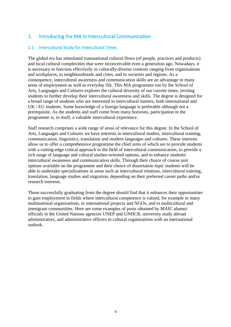# 1. Introducing the MA in Intercultural Communication

# 1.1 Intercultural Study for Intercultural Times

The global era has stimulated transnational cultural flows (of people, practices and products) and local cultural complexities that were inconceivable even a generation ago. Nowadays, it is necessary to function effectively in culturally-diverse contexts ranging from organisations and workplaces, to neighbourhoods and cities, and to societies and regions. As a consequence, intercultural awareness and communication skills are an advantage in many areas of employment as well as everyday life. This MA programme run by the School of Arts, Languages and Cultures explores the cultural diversity of our current times, inviting students to further develop their intercultural awareness and skills. The degree is designed for a broad range of students who are interested in intercultural matters, both international and UK / EU students. Some knowledge of a foreign language is preferable although not a prerequisite. As the students and staff come from many horizons, participation in the programme is, in itself, a valuable intercultural experience.

Staff research comprises a wide range of areas of relevance for this degree. In the School of Arts, Languages and Cultures we have interests in intercultural studies, intercultural training, communication, linguistics, translation and modern languages and cultures. These interests allow us to offer a comprehensive programme the chief aims of which are to provide students with a cutting-edge critical approach to the field of intercultural communication, to provide a rich range of language and cultural studies-oriented options, and to enhance students' intercultural awareness and communication skills. Through their choice of course unit options available on the programme and their choice of dissertation topic students will be able to undertake specializations in areas such as intercultural relations, intercultural training, translation, language studies and migration, depending on their preferred career paths and/or research interests.

Those successfully graduating from the degree should find that it enhances their opportunities to gain employment in fields where intercultural competence is valued, for example in many multinational organisations, in international projects and NGOs, and in multicultural and immigrant communities. Here are some examples of posts obtained by MAIC alumni: officials in the United Nations agencies UNEP and UNHCR, university study abroad administrators, and administrative officers in cultural organisations with an international outlook.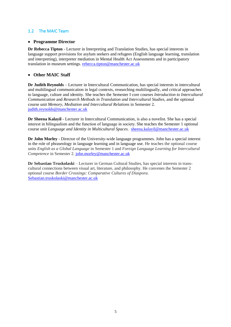# 1.2 The MAIC Team

#### • **Programme Director**

**Dr Rebecca Tipton** - Lecturer in Interpreting and Translation Studies, has special interests in language support provisions for asylum seekers and refugees (English language learning, translation and interpreting), interpreter mediation in Mental Health Act Assessments and in participatory translation in museum settings. [rebecca.tipton@manchester.ac.uk](mailto:rebecca.tipton@manchester.ac.uk)

### • **Other MAIC Staff**

**Dr Judith Reynolds** – Lecturer in Intercultural Communication, has special interests in intercultural and multilingual communication in legal contexts, researching multilingually, and critical approaches to language, culture and identity. She teaches the Semester I core courses *Introduction to Intercultural Communication* and *Research Methods in Translation and Intercultural Studies,* and the optional course unit *Memory, Mediation and Intercultural Relations* in Semester 2. [judith.reynolds@manchester.ac.uk](mailto:judith.reynolds@manchester.ac.uk)

**Dr Sheena Kalayil** - Lecturer in Intercultural Communication, is also a novelist. She has a special interest in bilingualism and the function of language in society. She teaches the Semester 1 optional course unit *Language and Identity in Multicultural Spaces*. [sheena.kalayil@manchester.ac.uk](mailto:sheena.kalayil@manchester.ac.uk)

**Dr John Morley** - Director of the University-wide language programmes. John has a special interest in the role of phraseology in language learning and in language use. He teaches the optional course units *English as a Global Language* in Semester 1 and *Foreign Language Learning for Intercultural Competence* in Semester 2[. john.morley@manchester.ac.uk](mailto:john.morley@manchester.ac.uk)

**Dr Sebastian Truskolaski** – Lecturer in German Cultural Studies, has special interests in transcultural connections between visual art, literature, and philosophy. He convenes the Semester 2 optional course *Border Crossings: Comparative Cultures of Diaspora*. [Sebastian.truskolaski@manchester.ac.uk](mailto:Sebastian.truskolaski@manchester.ac.uk)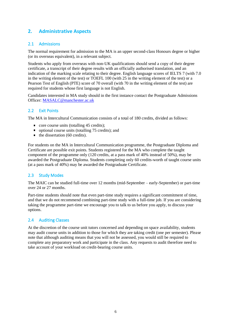# **2. Administrative Aspects**

# 2.1 Admissions

The normal requirement for admission to the MA is an upper second-class Honours degree or higher (or its overseas equivalent), in a relevant subject.

Students who apply from overseas with non-UK qualifications should send a copy of their degree certificate, a transcript of their degree results with an officially authorised translation, and an indication of the marking scale relating to their degree. English language scores of IELTS 7 (with 7.0 in the writing element of the test) or TOEFL 100 (with 25 in the writing element of the test) or a Pearson Test of English (PTE) score of 70 overall (with 70 in the writing element of the test) are required for students whose first language is not English.

Candidates interested in MA study should in the first instance contact the Postgraduate Admissions Officer[: MASALC@manchester.ac.uk](mailto:MASALC@manchester.ac.uk)

## 2.2 Exit Points

The MA in Intercultural Communication consists of a total of 180 credits, divided as follows:

- core course units (totalling 45 credits);
- optional course units (totalling 75 credits); and
- $\blacksquare$  the dissertation (60 credits).

For students on the MA in Intercultural Communication programme, the Postgraduate Diploma and Certificate are possible exit points. Students registered for the MA who complete the taught component of the programme only (120 credits, at a pass mark of 40% instead of 50%), may be awarded the Postgraduate Diploma. Students completing only 60 credits-worth of taught course units (at a pass mark of 40%) may be awarded the Postgraduate Certificate.

# 2.3 Study Modes

The MAIC can be studied full-time over 12 months (mid-September – early-September) or part-time over 24 or 27 months.

Part-time students should note that even part-time study requires a significant commitment of time, and that we do not recommend combining part-time study with a full-time job. If you are considering taking the programme part-time we encourage you to talk to us before you apply, to discuss your options.

# 2.4 Auditing Classes

At the discretion of the course unit tutors concerned and depending on space availability, students may audit course units in addition to those for which they are taking credit (one per semester). Please note that although auditing means that you will not be assessed, you would still be required to complete any preparatory work and participate in the class. Any requests to audit therefore need to take account of your workload on credit-bearing course units.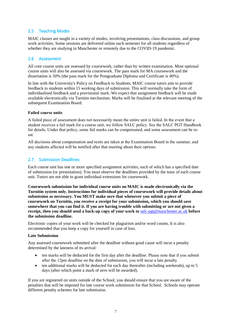# 2.5 Teaching Modes

MAIC classes are taught in a variety of modes, involving presentations, class discussions, and group work activities. Some sessions are delivered online each semester for all students regardless of whether they are studying in Manchester or remotely due to the COVID-19 pandemic.

#### 2.6 Assessment

All core course units are assessed by coursework, rather than by written examination. Most optional course units will also be assessed via coursework. The pass mark for MA coursework and the dissertation is 50% (the pass mark for the Postgraduate Diploma and Certificate is 40%).

In line with the University's Policy on Feedback to Students, MAIC course tutors aim to provide feedback to students within 15 working days of submission. This will normally take the form of individualised feedback and a provisional mark. We expect that assignment feedback will be made available electronically via Turnitin mechanism. Marks will be finalised at the relevant meeting of the subsequent Examination Board.

#### **Failed course units**

A failed piece of assessment does not necessarily mean the entire unit is failed. In the event that a student receives a fail mark for a course unit, we follow SALC policy. See the SALC PGT Handbook for details. Under that policy, some fail marks can be compensated, and some assessment can be resat.

All decisions about compensation and resits are taken at the Examination Board in the summer, and any students affected will be notified after that meeting about their options.

## 2.7. Submission Deadlines

Each course unit has one or more specified assignment activities, each of which has a specified date of submission (or presentation). You must observe the deadlines provided by the tutor of each course unit. Tutors are not able to grant individual extensions for coursework.

**Coursework submission for individual course units on MAIC is made electronically via the Turnitin system only. Instructions for individual pieces of coursework will provide details about submission as necessary. You MUST make sure that whenever you submit a piece of coursework on Turnitin, you receive a receipt for your submission, which you should save somewhere that you can find it. If you are having trouble with submitting or are not given a receipt, then you should send a back-up copy of your work to** [salc-pgt@manchester.ac.uk](mailto:salc-pgt@manchester.ac.uk) **before the submission deadline.**

Electronic copies of your work will be checked for plagiarism and/or word counts. It is also recommended that you keep a copy for yourself in case of loss.

#### **Late Submission**

Any assessed coursework submitted after the deadline without good cause will incur a penalty determined by the lateness of its arrival:

- ten marks will be deducted for the first day after the deadline. Please note that if you submit after the 12pm deadline on the date of submission, you will incur a late penalty.
- ten additional marks will be deducted for each day thereafter (including weekends), up to 5 days (after which point a mark of zero will be awarded).

If you are registered on units outside of the School, you should ensure that you are aware of the penalties that will be imposed for late course work submission for that School. Schools may operate different penalty schemes for late submission.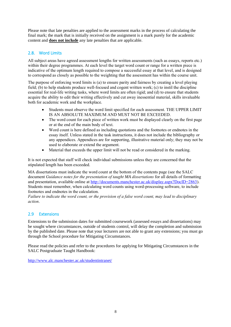Please note that late penalties are applied to the assessment marks in the process of calculating the final mark; the mark that is initially received on the assignment is a mark purely for the academic content and **does not include** any late penalties that are applicable.

# 2.8. Word Limits

All subject areas have agreed assessment lengths for written assessments (such as essays, reports etc.) within their degree programmes. At each level the target word count or range for a written piece is indicative of the optimum length required to compose a successful essay at that level, and is designed to correspond as closely as possible to the weighting that the assessment has within the course unit.

The purpose of enforcing word limits is (a) to ensure parity and fairness by creating a level playing field; (b) to help students produce well-focused and cogent written work; (c) to instil the discipline essential for real-life writing tasks, where word limits are often rigid; and (d) to ensure that students acquire the ability to edit their writing effectively and cut away inessential material, skills invaluable both for academic work and the workplace.

- Students must observe the word limit specified for each assessment. THE UPPER LIMIT IS AN ABSOLUTE MAXIMUM AND MUST NOT BE EXCEEDED.
- The word count for each piece of written work must be displayed clearly on the first page or at the end of the main body of text.
- Word count is here defined as including quotations and the footnotes or endnotes in the essay itself. Unless stated in the task instructions, it does not include the bibliography or any appendices. Appendices are for supporting, illustrative material only; they may not be used to elaborate or extend the argument.
- Material that exceeds the upper limit will not be read or considered in the marking.

It is not expected that staff will check individual submissions unless they are concerned that the stipulated length has been exceeded.

MA dissertations must indicate the word count at the bottom of the contents page (see the SALC document *Guidance notes for the presentation of taught MA dissertations* for all details of formatting and presentation, available online at [http://documents.manchester.ac.uk/display.aspx?DocID=2863\)](http://documents.manchester.ac.uk/display.aspx?DocID=2863). Students must remember, when calculating word counts using word-processing software, to include footnotes and endnotes in the calculation.

*Failure to indicate the word count, or the provision of a false word count, may lead to disciplinary action*.

# 2.9 Extensions

Extensions to the submission dates for submitted coursework (assessed essays and dissertations) may be sought where circumstances, outside of students control, will delay the completion and submission by the published date. Please note that your lecturers are not able to grant any extensions; you must go through the School procedure for Mitigating Circumstances.

Please read the policies and refer to the procedures for applying for Mitigating Circumstances in the SALC Postgraduate Taught Handbook:

<http://www.alc.manchester.ac.uk/studentintranet/>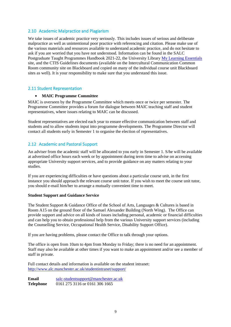### 2.10 Academic Malpractice and Plagiarism

We take issues of academic practice very seriously. This includes issues of serious and deliberate malpractice as well as unintentional poor practice with referencing and citation. Please make use of the various materials and resources available to understand academic practice, and do not hesitate to ask if you are worried that you have not understood. Information can be found in the SALC Postgraduate Taught Programmes Handbook 2021-22, the University Librar[y My Learning Essentials](mailto:http://www.library.manchester.ac.uk/using-the-library/students/training-and-skills-support/my-learning-essentials/online-resources/) site, and the CTIS Guidelines documents (available on the Intercultural Communication Common Room community site on Blackboard and copied on many of the individual course unit Blackboard sites as well). It is your responsibility to make sure that you understand this issue.

#### 2.11 Student Representation

#### **MAIC Programme Committee**

MAIC is overseen by the Programme Committee which meets once or twice per semester. The Programme Committee provides a forum for dialogue between MAIC teaching staff and student representatives, where issues relating to MAIC can be discussed.

Student representatives are elected each year to ensure effective communication between staff and students and to allow students input into programme developments. The Programme Director will contact all students early in Semester 1 to organise the election of representatives.

## 2.12 Academic and Pastoral Support

An adviser from the academic staff will be allocated to you early in Semester 1. S/he will be available at advertised office hours each week or by appointment during term time to advise on accessing appropriate University support services, and to provide guidance on any matters relating to your studies.

If you are experiencing difficulties or have questions about a particular course unit, in the first instance you should approach the relevant course unit tutor. If you wish to meet the course unit tutor, you should e-mail him/her to arrange a mutually convenient time to meet.

#### **Student Support and Guidance Service**

The Student Support & Guidance Office of the School of Arts, Languages & Cultures is based in Room A15 on the ground floor of the Samuel Alexander Building (North Wing). The Office can provide support and advice on all kinds of issues including personal, academic or financial difficulties and can help you to obtain professional help from the various University support services (including the Counselling Service, Occupational Health Service, Disability Support Office).

If you are having problems, please contact the Office to talk through your options.

The office is open from 10am to 4pm from Monday to Friday; there is no need for an appointment. Staff may also be available at other times if you want to make an appointment and/or see a member of staff in private.

Full contact details and information is available on the student intranet: <http://www.alc.manchester.ac.uk/studentintranet/support/>

**Email** [salc-studentsupport@manchester.ac.uk](mailto:salc-studentsupport@manchester.ac.uk) **Telephone** 0161 275 3116 or 0161 306 1665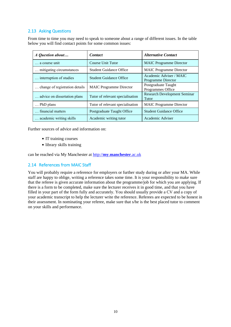# 2.13 Asking Questions

From time to time you may need to speak to someone about a range of different issues. In the table below you will find contact points for some common issues:

| A Question about               | <b>Contact</b>                   | <b>Alternative Contact</b>                    |
|--------------------------------|----------------------------------|-----------------------------------------------|
| a course unit                  | Course Unit Tutor                | <b>MAIC</b> Programme Director                |
| mitigating circumstances       | <b>Student Guidance Office</b>   | <b>MAIC Programme Director</b>                |
| interruption of studies        | <b>Student Guidance Office</b>   | Academic Adviser / MAIC<br>Programme Director |
| change of registration details | <b>MAIC Programme Director</b>   | Postgraduate Taught<br>Programmes Office      |
| advice on dissertation plans   | Tutor of relevant specialisation | <b>Research Development Seminar</b><br>Tutor  |
| PhD plans                      | Tutor of relevant specialisation | <b>MAIC Programme Director</b>                |
| financial matters              | Postgraduate Taught Office       | <b>Student Guidance Office</b>                |
| academic writing skills        | Academic writing tutor           | Academic Adviser                              |

Further sources of advice and information on:

- **IT** training courses
- library skills training

can be reached via My Manchester at http://**my**.**[manchester](http://my.manchester.ac.uk/)**.ac.uk

#### 2.14 References from MAIC Staff

You will probably require a reference for employers or further study during or after your MA. While staff are happy to oblige, writing a reference takes some time. It is your responsibility to make sure that the referee is given accurate information about the programme/job for which you are applying. If there is a form to be completed, make sure the lecturer receives it in good time, and that you have filled in your part of the form fully and accurately. You should usually provide a CV and a copy of your academic transcript to help the lecturer write the reference. Referees are expected to be honest in their assessment. In nominating your referee, make sure that s/he is the best placed tutor to comment on your skills and performance.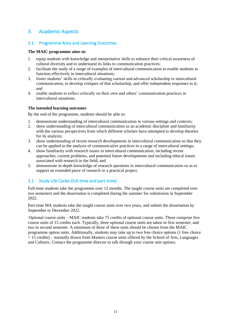# 3. Academic Aspects

### 3.1. Programme Aims and Learning Outcomes

#### **The MAIC programme aims to:**

- 1. equip students with knowledge and interpretative skills to enhance their critical awareness of cultural diversity and to understand its links to communication practices;
- 2. facilitate the study of a range of examples of intercultural communication to enable students to function effectively in intercultural situations;
- 3. foster students' skills in critically evaluating current and advanced scholarship in intercultural communication, to develop critiques of that scholarship, and offer independent responses to it; and
- 4. enable students to reflect critically on their own and others' communication practices in intercultural situations.

#### **The intended learning outcomes**

By the end of the programme, students should be able to:

- 1. demonstrate understanding of intercultural communication in various settings and contexts;
- 2. show understanding of intercultural communication as an academic discipline and familiarity with the various perspectives from which different scholars have attempted to develop theories for its analysis;
- 3. show understanding of recent research developments in intercultural communication so that they can be applied to the analysis of communicative practices in a range of intercultural settings;
- 4. show familiarity with research issues in intercultural communication, including recent approaches, current problems, and potential future developments and including ethical issues associated with research in the field; and
- 5. demonstrate in-depth knowledge of research questions in intercultural communication so as to support an extended piece of research or a practical project.

# 3.2 Study Life Cycles (full-time and part-time)

Full-time students take the programme over 12 months. The taught course units are completed over two semesters and the dissertation is completed during the summer for submission in September 2022.

Part-time MA students take the taught course units over two years, and submit the dissertation by September or December 2022.

Optional course units – MAIC students take 75 credits of optional course units. These comprise five course units of 15 credits each. Typically, three optional course units are taken in first semester, and two in second semester. A minimum of three of these units should be chosen from the MAIC programme option units. Additionally, students may take up to two free choice options (1 free choice  $= 15$  credits) – normally drawn from Masters course units offered by the School of Arts, Languages and Cultures. Contact the programme director to talk through your course unit options.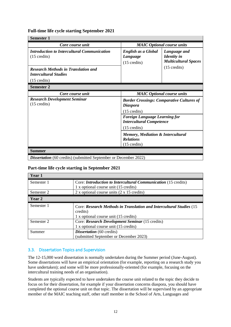# **Full-time life cycle starting September 2021**

| <b>Semester 1</b>                                                                                                                                              |                                                                                                   |                                                                   |  |  |
|----------------------------------------------------------------------------------------------------------------------------------------------------------------|---------------------------------------------------------------------------------------------------|-------------------------------------------------------------------|--|--|
| Core course unit                                                                                                                                               | <b>MAIC Optional course units</b>                                                                 |                                                                   |  |  |
| <b>Introduction to Intercultural Communication</b><br>$(15 \text{ credits})$                                                                                   | English as a Global<br>Language<br>$(15 \text{ credits})$                                         | Language and<br><b>Identity</b> in<br><b>Multicultural Spaces</b> |  |  |
| <b>Research Methods in Translation and</b><br><b>Intercultural Studies</b>                                                                                     |                                                                                                   | $(15 \text{ credits})$                                            |  |  |
| $(15 \text{ credits})$                                                                                                                                         |                                                                                                   |                                                                   |  |  |
| <b>Semester 2</b>                                                                                                                                              |                                                                                                   |                                                                   |  |  |
| Core course unit                                                                                                                                               | <b>MAIC</b> Optional course units                                                                 |                                                                   |  |  |
| <b>Research Development Seminar</b><br><b>Border Crossings: Comparative Cultures of</b><br>$(15 \text{ credits})$<br><b>Diaspora</b><br>$(15 \text{ credits})$ |                                                                                                   |                                                                   |  |  |
|                                                                                                                                                                | <b>Foreign Language Learning for</b><br><b>Intercultural Competence</b><br>$(15 \text{ credits})$ |                                                                   |  |  |
|                                                                                                                                                                | Memory, Mediation & Intercultural<br><b>Relations</b><br>$(15 \text{ credits})$                   |                                                                   |  |  |
| <b>Summer</b>                                                                                                                                                  |                                                                                                   |                                                                   |  |  |

**Dissertation** (60 credits) (submitted September or December 2022)

#### **Part-time life cycle starting in September 2021**

| Year 1     |                                                                       |  |
|------------|-----------------------------------------------------------------------|--|
| Semester 1 | Core: <i>Introduction to Intercultural Communication</i> (15 credits) |  |
|            | 1 x optional course unit (15 credits)                                 |  |
| Semester 2 | 2 x optional course units $(2 \times 15 \text{ credits})$             |  |
| Year 2     |                                                                       |  |
| Semester 1 | Core: Research Methods in Translation and Intercultural Studies (15   |  |
|            | credits)                                                              |  |
|            | 1 x optional course unit (15 credits)                                 |  |
| Semester 2 | Core: Research Development Seminar (15 credits)                       |  |
|            | 1 x optional course unit (15 credits)                                 |  |
| Summer     | <b>Dissertation</b> (60 credits)                                      |  |
|            | (submitted September or December 2023)                                |  |

# 3.3. Dissertation Topics and Supervision

The 12-15,000 word dissertation is normally undertaken during the Summer period (June-August). Some dissertations will have an empirical orientation (for example, reporting on a research study you have undertaken); and some will be more professionally-oriented (for example, focusing on the intercultural training needs of an organisation).

Students are typically expected to have undertaken the course unit related to the topic they decide to focus on for their dissertation, for example if your dissertation concerns diaspora, you should have completed the optional course unit on that topic. The dissertation will be supervised by an appropriate member of the MAIC teaching staff, other staff member in the School of Arts, Languages and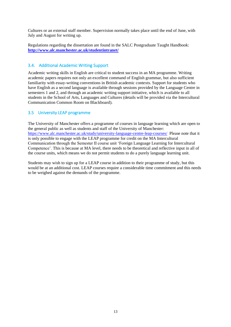Cultures or an external staff member. Supervision normally takes place until the end of June, with July and August for writing up.

Regulations regarding the dissertation are found in the SALC Postgraduate Taught Handbook: **<http://www.alc.manchester.ac.uk/studentintranet/>**

### 3.4. Additional Academic Writing Support

Academic writing skills in English are critical to student success in an MA programme. Writing academic papers requires not only an excellent command of English grammar, but also sufficient familiarity with essay-writing conventions in British academic contexts. Support for students who have English as a second language is available through sessions provided by the Language Centre in semesters 1 and 2, and through an academic writing support initiative, which is available to all students in the School of Arts, Languages and Cultures (details will be provided via the Intercultural Communication Common Room on Blackboard).

# 3.5 University LEAP programme

The University of Manchester offers a programme of courses in language learning which are open to the general public as well as students and staff of the University of Manchester: <https://www.alc.manchester.ac.uk/study/university-language-centre-leap-courses/>Please note that it is only possible to engage with the LEAP programme for credit on the MA Intercultural Communication through the Semester II course unit 'Foreign Language Learning for Intercultural Competence'. This is because at MA level, there needs to be theoretical and reflective input in all of the course units, which means we do not permit students to do a purely language learning unit.

Students may wish to sign up for a LEAP course in addition to their programme of study, but this would be at an additional cost. LEAP courses require a considerable time commitment and this needs to be weighed against the demands of the programme.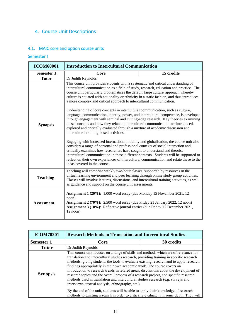# 4. Course Unit Descriptions

# 4.1. MAIC core and option course units

# Semester I

| <b>ICOM60001</b>  | <b>Introduction to Intercultural Communication</b>                                                                                                                                                                                                                                                                                                                                                                                                                                                                                                                                                                                                                                                                                                                                                                                                                                                                                                                                                                                                                                                                                                                                                                                                                                                                                                                                                            |            |
|-------------------|---------------------------------------------------------------------------------------------------------------------------------------------------------------------------------------------------------------------------------------------------------------------------------------------------------------------------------------------------------------------------------------------------------------------------------------------------------------------------------------------------------------------------------------------------------------------------------------------------------------------------------------------------------------------------------------------------------------------------------------------------------------------------------------------------------------------------------------------------------------------------------------------------------------------------------------------------------------------------------------------------------------------------------------------------------------------------------------------------------------------------------------------------------------------------------------------------------------------------------------------------------------------------------------------------------------------------------------------------------------------------------------------------------------|------------|
| <b>Semester 1</b> | Core                                                                                                                                                                                                                                                                                                                                                                                                                                                                                                                                                                                                                                                                                                                                                                                                                                                                                                                                                                                                                                                                                                                                                                                                                                                                                                                                                                                                          | 15 credits |
| <b>Tutor</b>      | Dr Judith Reynolds                                                                                                                                                                                                                                                                                                                                                                                                                                                                                                                                                                                                                                                                                                                                                                                                                                                                                                                                                                                                                                                                                                                                                                                                                                                                                                                                                                                            |            |
| <b>Synopsis</b>   | This course unit provides students with a systematic and critical understanding of<br>intercultural communication as a field of study, research, education and practice. The<br>course unit particularly problematises the default 'large culture' approach whereby<br>culture is equated with nationality or ethnicity in a static fashion, and thus introduces<br>a more complex and critical approach to intercultural communication.<br>Understanding of core concepts in intercultural communication, such as culture,<br>language, communication, identity, power, and intercultural competence, is developed<br>through engagement with seminal and cutting-edge research. Key theories examining<br>these concepts and how they relate to intercultural communication are introduced,<br>explored and critically evaluated through a mixture of academic discussion and<br>intercultural training-based activities.<br>Engaging with increased international mobility and globalisation, the course unit also<br>considers a range of personal and professional contexts of social interaction and<br>critically examines how researchers have sought to understand and theorise<br>intercultural communication in these different contexts. Students will be supported to<br>reflect on their own experiences of intercultural communication and relate these to the<br>ideas covered in the course. |            |
| <b>Teaching</b>   | Teaching will comprise weekly two-hour classes, supported by resources in the<br>virtual learning environment and peer learning through online study group activities.<br>Classes will involve lectures, discussions, and intercultural training activities, as well<br>as guidance and support on the course unit assessments.                                                                                                                                                                                                                                                                                                                                                                                                                                                                                                                                                                                                                                                                                                                                                                                                                                                                                                                                                                                                                                                                               |            |
| <b>Assessment</b> | <b>Assignment 1 (20%):</b> 1,000 word essay (due Monday 15 November 2021, 12<br>noon)<br>Assignment 2 (70%): 2,500 word essay (due Friday 21 January 2022, 12 noon)<br>Assignment 3 (10%): Reflective journal entries (due Friday 17 December 2021,<br>$12$ noon)                                                                                                                                                                                                                                                                                                                                                                                                                                                                                                                                                                                                                                                                                                                                                                                                                                                                                                                                                                                                                                                                                                                                             |            |

| <b>ICOM70201</b>  | <b>Research Methods in Translation and Intercultural Studies</b>                                                                                                                                                                                                                                                                                                                                                                                                                                                                                                                                                                                                                                                                                                                                                                                                  |            |
|-------------------|-------------------------------------------------------------------------------------------------------------------------------------------------------------------------------------------------------------------------------------------------------------------------------------------------------------------------------------------------------------------------------------------------------------------------------------------------------------------------------------------------------------------------------------------------------------------------------------------------------------------------------------------------------------------------------------------------------------------------------------------------------------------------------------------------------------------------------------------------------------------|------------|
| <b>Semester 1</b> | Core                                                                                                                                                                                                                                                                                                                                                                                                                                                                                                                                                                                                                                                                                                                                                                                                                                                              | 30 credits |
| <b>Tutor</b>      | Dr Judith Reynolds                                                                                                                                                                                                                                                                                                                                                                                                                                                                                                                                                                                                                                                                                                                                                                                                                                                |            |
| <b>Synopsis</b>   | This course unit focuses on a range of skills and methods which are of relevance for<br>translation and intercultural studies research, providing training in specific research<br>methods, giving students the tools to evaluate existing research and to apply research<br>findings appropriately in their own academic work. The course covers an<br>introduction to research trends in related areas, discussions about the development of<br>research topics and the overall process of a research project, and specific research<br>methods used in translation and intercultural studies research (e.g. surveys and<br>interviews, textual analysis, ethnography, etc.).<br>By the end of the unit, students will be able to apply their knowledge of research<br>methods to existing research in order to critically evaluate it in some depth. They will |            |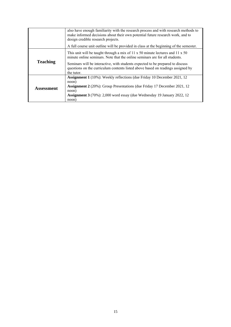|                 | also have enough familiarity with the research process and with research methods to<br>make informed decisions about their own potential future research work, and to<br>design credible research projects. |  |
|-----------------|-------------------------------------------------------------------------------------------------------------------------------------------------------------------------------------------------------------|--|
|                 | A full course unit outline will be provided in class at the beginning of the semester.                                                                                                                      |  |
|                 | This unit will be taught through a mix of 11 $x$ 50 minute lectures and 11 $x$ 50<br>minute online seminars. Note that the online seminars are for all students.                                            |  |
| <b>Teaching</b> | Seminars will be interactive, with students expected to be prepared to discuss<br>questions on the curriculum contents listed above based on readings assigned by<br>the tutor.                             |  |
|                 | <b>Assignment 1</b> (10%): Weekly reflections (due Friday 10 December 2021, 12<br>noon)                                                                                                                     |  |
| Assessment      | <b>Assignment 2</b> (20%): Group Presentations (due Friday 17 December 2021, 12<br>noon)                                                                                                                    |  |
|                 | Assignment 3 (70%): 2,000 word essay (due Wednesday 19 January 2022, 12<br>noon)                                                                                                                            |  |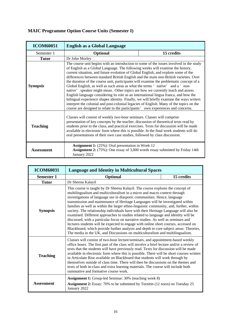# **MAIC Programme Option Course Units (Semester I)**

| <b>ICOM60051</b>                                                                                                                                                                                                                                                                                                                                                                                                                                        | <b>English as a Global Language</b>                                                                                                                                                                                                                                                                                                                                                                                                                                                                                                                                                                                                                                                                                                                                                                                                                                                                                                                                                     |  |  |
|---------------------------------------------------------------------------------------------------------------------------------------------------------------------------------------------------------------------------------------------------------------------------------------------------------------------------------------------------------------------------------------------------------------------------------------------------------|-----------------------------------------------------------------------------------------------------------------------------------------------------------------------------------------------------------------------------------------------------------------------------------------------------------------------------------------------------------------------------------------------------------------------------------------------------------------------------------------------------------------------------------------------------------------------------------------------------------------------------------------------------------------------------------------------------------------------------------------------------------------------------------------------------------------------------------------------------------------------------------------------------------------------------------------------------------------------------------------|--|--|
| Semester 1                                                                                                                                                                                                                                                                                                                                                                                                                                              | 15 credits<br><b>Optional</b>                                                                                                                                                                                                                                                                                                                                                                                                                                                                                                                                                                                                                                                                                                                                                                                                                                                                                                                                                           |  |  |
| <b>Tutor</b>                                                                                                                                                                                                                                                                                                                                                                                                                                            | Dr John Morley                                                                                                                                                                                                                                                                                                                                                                                                                                                                                                                                                                                                                                                                                                                                                                                                                                                                                                                                                                          |  |  |
| <b>Synopsis</b>                                                                                                                                                                                                                                                                                                                                                                                                                                         | The course unit begins with an introduction to some of the issues involved in the study<br>of English as a Global Language. The following weeks will examine the history,<br>current situation, and future evolution of Global English, and explore some of the<br>differences between standard British English and the main non-British varieties. Over<br>the duration of the course unit, participants will examine the problematic concept of a<br>Global English, as well as such areas as what the terms 'native' and a 'non-<br>native' speaker might mean. Other topics are how we currently teach and assess<br>English language considering its role as an international lingua franca, and how the<br>bilingual experience shapes identity. Finally, we will briefly examine the ways writers<br>interpret the colonial and post-colonial legacies of English. Many of the topics on the<br>course are designed to relate to the participants' own experiences and concerns. |  |  |
| Classes will consist of weekly two-hour seminars. Classes will comprise<br>presentation of key concepts by the teacher, discussion of theoretical texts read by<br><b>Teaching</b><br>students prior to the class, and practical exercises. Texts for discussion will be made<br>available in electronic form where this is possible. In the final week students will do<br>oral presentations of their own case studies, followed by class discussion. |                                                                                                                                                                                                                                                                                                                                                                                                                                                                                                                                                                                                                                                                                                                                                                                                                                                                                                                                                                                         |  |  |
| Assessment                                                                                                                                                                                                                                                                                                                                                                                                                                              | <b>Assignment 1:</b> (25%): Oral presentation in Week 12<br>Assignment 2: (75%): One essay of 3,000 words essay submitted by Friday 14th<br>January 2022                                                                                                                                                                                                                                                                                                                                                                                                                                                                                                                                                                                                                                                                                                                                                                                                                                |  |  |

| <b>ICOM60031</b>  | <b>Language and Identity in Multicultural Spaces</b>                                                                                                                                                                                                                                                                                                                                                                                                                                                                                                                                                                                                                                                                                                                                                                                                                                                                                                   |  |
|-------------------|--------------------------------------------------------------------------------------------------------------------------------------------------------------------------------------------------------------------------------------------------------------------------------------------------------------------------------------------------------------------------------------------------------------------------------------------------------------------------------------------------------------------------------------------------------------------------------------------------------------------------------------------------------------------------------------------------------------------------------------------------------------------------------------------------------------------------------------------------------------------------------------------------------------------------------------------------------|--|
| <b>Semester 1</b> | 15 credits<br><b>Optional</b>                                                                                                                                                                                                                                                                                                                                                                                                                                                                                                                                                                                                                                                                                                                                                                                                                                                                                                                          |  |
| <b>Tutor</b>      | Dr Sheena Kalayil                                                                                                                                                                                                                                                                                                                                                                                                                                                                                                                                                                                                                                                                                                                                                                                                                                                                                                                                      |  |
| <b>Synopsis</b>   | This course is taught by Dr Sheena Kalayil. The course explores the concept of<br>multilingualism and multiculturalism in a micro and macro context through<br>investigations of language use in diasporic communities. Hence, language<br>transmission and maintenance of Heritage Languages will be investigated within<br>families as well as within the larger ethno-linguistic community, and, further, within<br>society. The relationship individuals have with their Heritage Language will also be<br>examined. Different approaches to studies related to language and identity will be<br>discussed, with a particular focus on narrative studies. As well as seminars and<br>lectures students will be expected to engage with online short courses, accessed on<br>Blackboard, which provide further analysis and depth to core subject areas: Theories,<br>The media in the UK, and Discussions on multiculturalism and multilingualism. |  |
| <b>Teaching</b>   | Classes will consist of two-hour lecture/seminars, and appointment-based weekly<br>office hours. The first part of the class will involve a brief lecture and/or a review of<br>texts that the students will have previously read. Texts for discussion will be made<br>available in electronic form where this is possible. There will be short courses written<br>in Articulate Rise available on Blackboard that students will work through by<br>themselves outside of class time. There will then be discussions on the themes and<br>texts of both in-class and extra learning materials. The course will include both<br>summative and formative course work.                                                                                                                                                                                                                                                                                   |  |
| Assessment        | <b>Assignment 1:</b> Group-led Seminar: 30% (teaching week 8)<br><b>Assignment 2:</b> Essay: 70% to be submitted by Turnitin (12 noon) on Tuesday 25<br>January 2022                                                                                                                                                                                                                                                                                                                                                                                                                                                                                                                                                                                                                                                                                                                                                                                   |  |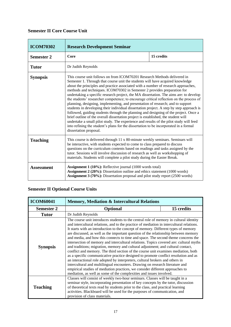# **Semester II Core Course Unit**

| <b>ICOM70302</b>  | <b>Research Development Seminar</b>                                                                                                                                                                                                                                                                                                                                                                                                                                                                                                                                                                                                                                                                                                                                                                                                                                                                                                                                                                                                                                                         |            |
|-------------------|---------------------------------------------------------------------------------------------------------------------------------------------------------------------------------------------------------------------------------------------------------------------------------------------------------------------------------------------------------------------------------------------------------------------------------------------------------------------------------------------------------------------------------------------------------------------------------------------------------------------------------------------------------------------------------------------------------------------------------------------------------------------------------------------------------------------------------------------------------------------------------------------------------------------------------------------------------------------------------------------------------------------------------------------------------------------------------------------|------------|
| <b>Semester 2</b> | Core                                                                                                                                                                                                                                                                                                                                                                                                                                                                                                                                                                                                                                                                                                                                                                                                                                                                                                                                                                                                                                                                                        | 15 credits |
| <b>Tutor</b>      | Dr Judith Reynolds                                                                                                                                                                                                                                                                                                                                                                                                                                                                                                                                                                                                                                                                                                                                                                                                                                                                                                                                                                                                                                                                          |            |
| <b>Synopsis</b>   | This course unit follows on from ICOM70201 Research Methods delivered in<br>Semester 1. Through that course unit the students will have acquired knowledge<br>about the principles and practice associated with a number of research approaches,<br>methods and techniques. ICOM70302 in Semester 2 provides preparation for<br>undertaking a specific research project, the MA dissertation. The aims are: to develop<br>the students' researcher competence; to encourage critical reflection on the process of<br>planning, designing, implementing, and presentation of research; and to support<br>students in developing their individual dissertation project. A step by step approach is<br>followed, guiding students through the planning and designing of the project. Once a<br>brief outline of the overall dissertation project is established, the student will<br>undertake a small pilot study. The experience and results of the pilot study will feed<br>into refining the student's plans for the dissertation to be incorporated in a formal<br>dissertation proposal. |            |
| <b>Teaching</b>   | This course is delivered through 11 x 80-minute weekly seminars. Seminars will<br>be interactive, with students expected to come to class prepared to discuss<br>questions on the curriculum contents based on readings and tasks assigned by the<br>tutor. Sessions will involve discussion of research as well as workshopping of<br>materials. Students will complete a pilot study during the Easter Break.                                                                                                                                                                                                                                                                                                                                                                                                                                                                                                                                                                                                                                                                             |            |
| <b>Assessment</b> | Assignment 1 (10%): Reflective journal (1000 words total)<br>Assignment 2 (20%): Dissertation outline and ethics statement (1000 words)<br><b>Assignment 3 (70%):</b> Dissertation proposal and pilot study report (2500 words)                                                                                                                                                                                                                                                                                                                                                                                                                                                                                                                                                                                                                                                                                                                                                                                                                                                             |            |

# **Semester II Optional Course Units**

| <b>ICOM60041</b>                                                                                                                                                                                                                                                                                                                                                                          | <b>Memory, Mediation &amp; Intercultural Relations</b>                                                                                                                                                                                                                                                                                                                                                                                                                                                                                                                                                                                                                                                                                                                                                                                                                                                                                                                                                                                                                                                                                     |            |  |
|-------------------------------------------------------------------------------------------------------------------------------------------------------------------------------------------------------------------------------------------------------------------------------------------------------------------------------------------------------------------------------------------|--------------------------------------------------------------------------------------------------------------------------------------------------------------------------------------------------------------------------------------------------------------------------------------------------------------------------------------------------------------------------------------------------------------------------------------------------------------------------------------------------------------------------------------------------------------------------------------------------------------------------------------------------------------------------------------------------------------------------------------------------------------------------------------------------------------------------------------------------------------------------------------------------------------------------------------------------------------------------------------------------------------------------------------------------------------------------------------------------------------------------------------------|------------|--|
| <b>Semester 2</b>                                                                                                                                                                                                                                                                                                                                                                         | <b>Optional</b>                                                                                                                                                                                                                                                                                                                                                                                                                                                                                                                                                                                                                                                                                                                                                                                                                                                                                                                                                                                                                                                                                                                            | 15 credits |  |
| <b>Tutor</b>                                                                                                                                                                                                                                                                                                                                                                              | Dr Judith Reynolds                                                                                                                                                                                                                                                                                                                                                                                                                                                                                                                                                                                                                                                                                                                                                                                                                                                                                                                                                                                                                                                                                                                         |            |  |
| <b>Synopsis</b>                                                                                                                                                                                                                                                                                                                                                                           | The course unit introduces students to the central role of memory in cultural identity<br>and intercultural relations, and to the practice of mediation in intercultural relations.<br>It starts with an introduction to the concept of memory. Different types of memory<br>are discussed, as well as the important question of the relationship between memory<br>and media, and how this connects to time and space. The second theme concerns the<br>intersection of memory and intercultural relations. Topics covered are: cultural myths<br>and traditions; migration, memory and cultural adjustment; and cultural contact,<br>conflict and memory. The third section of the course unit examines mediation, both<br>as a specific communicative practice designed to promote conflict resolution and as<br>an interactional role adopted by interpreters, cultural brokers and others in<br>intercultural and multilingual encounters. Drawing on research literature and<br>empirical studies of mediation practices, we consider different approaches to<br>mediation, as well as some of the complexities and issues involved. |            |  |
| Classes will consist of weekly two-hour seminars. Classes will be taught in a<br>seminar style, incorporating presentation of key concepts by the tutor, discussion<br><b>Teaching</b><br>of theoretical texts read by students prior to the class, and practical learning<br>activities. Blackboard will be used for the purposes of communication, and<br>provision of class materials. |                                                                                                                                                                                                                                                                                                                                                                                                                                                                                                                                                                                                                                                                                                                                                                                                                                                                                                                                                                                                                                                                                                                                            |            |  |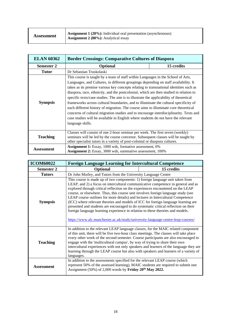| <b>Assessment</b> | <b>Assignment 1 (20%):</b> Individual oral presentation (asynchronous)<br><b>Assignment 2 (80%):</b> Analytical essay |
|-------------------|-----------------------------------------------------------------------------------------------------------------------|
|                   |                                                                                                                       |

| <b>ELAN 60362</b> | <b>Border Crossings: Comparative Cultures of Diaspora</b>                                                                                                                                                                                                                                                                                                                                                                                                                                                                                                                                                                                                                                                                                                                                                                               |            |  |
|-------------------|-----------------------------------------------------------------------------------------------------------------------------------------------------------------------------------------------------------------------------------------------------------------------------------------------------------------------------------------------------------------------------------------------------------------------------------------------------------------------------------------------------------------------------------------------------------------------------------------------------------------------------------------------------------------------------------------------------------------------------------------------------------------------------------------------------------------------------------------|------------|--|
| <b>Semester 2</b> | <b>Optional</b>                                                                                                                                                                                                                                                                                                                                                                                                                                                                                                                                                                                                                                                                                                                                                                                                                         | 15 credits |  |
| <b>Tutor</b>      | Dr Sebastian Truskolaski                                                                                                                                                                                                                                                                                                                                                                                                                                                                                                                                                                                                                                                                                                                                                                                                                |            |  |
| <b>Synopsis</b>   | This course is taught by a team of staff within Languages in the School of Arts,<br>Languages, and Cultures, in different groupings depending on staff availability. It<br>takes as its premise various key concepts relating to transnational identities such as<br>diaspora, race, ethnicity, and the postcolonial, which are then studied in relation to<br>specific texts/case studies. The aim is to illustrate the applicability of theoretical<br>frameworks across cultural boundaries, and to illuminate the cultural specificity of<br>each different history of migration. The course aims to illuminate core theoretical<br>concerns of cultural migration studies and to encourage interdisciplinarity. Texts and<br>case studies will be available in English where students do not have the relevant<br>language skills. |            |  |
| <b>Teaching</b>   | Classes will consist of one 2-hour seminar per week. The first seven (weekly)<br>seminars will be led by the course convenor. Subsequent classes will be taught by<br>other specialist tutors in a variety of post-colonial or diaspora cultures.                                                                                                                                                                                                                                                                                                                                                                                                                                                                                                                                                                                       |            |  |
| <b>Assessment</b> | <b>Assignment 1:</b> Essay, 1000 wds, formative assessment, 0%<br><b>Assignment 2:</b> Essay, 3000 wds, summative assessment, 100%                                                                                                                                                                                                                                                                                                                                                                                                                                                                                                                                                                                                                                                                                                      |            |  |

| <b>ICOM60022</b>  | <b>Foreign Language Learning for Intercultural Competence</b>                                                                                                                                                                                                                                                                                                                                                                                                                                                                                                                                                                                                                                                                                                                 |  |  |
|-------------------|-------------------------------------------------------------------------------------------------------------------------------------------------------------------------------------------------------------------------------------------------------------------------------------------------------------------------------------------------------------------------------------------------------------------------------------------------------------------------------------------------------------------------------------------------------------------------------------------------------------------------------------------------------------------------------------------------------------------------------------------------------------------------------|--|--|
| <b>Semester 2</b> | 15 credits<br><b>Optional</b>                                                                                                                                                                                                                                                                                                                                                                                                                                                                                                                                                                                                                                                                                                                                                 |  |  |
| <b>Tutors</b>     | Dr John Morley, and Tutors from the University Language Centre                                                                                                                                                                                                                                                                                                                                                                                                                                                                                                                                                                                                                                                                                                                |  |  |
| <b>Synopsis</b>   | This course is made up of two components: 1) foreign language unit taken from<br>LEAP, and 2) a focus on intercultural communicative competence in general and as<br>explored through critical reflection on the experiences encountered on the LEAP<br>course, or elsewhere. Thus, this course unit involves foreign language study (see<br>LEAP course outlines for more details) and lectures in Intercultural Competence<br>(ICC) where relevant theories and models of ICC for foreign language learning are<br>presented and students are encouraged to do systematic critical reflection on their<br>foreign language learning experience in relation to these theories and models.<br>https://www.alc.manchester.ac.uk/study/university-language-centre-leap-courses/ |  |  |
| <b>Teaching</b>   | In addition to the relevant LEAP language classes, for the MAIC related component<br>of this unit, there will be five two-hour class meetings. The classes will take place<br>every other week of the second semester. Course participants are also encouraged to<br>engage with the 'multicultural campus', by way of trying to share their own<br>intercultural experiences with not only speakers and learners of the language they are<br>learning through the LEAP course but also with speakers and learners of a variety of<br>languages.                                                                                                                                                                                                                              |  |  |
| <b>Assessment</b> | In addition to the assessments specified for the relevant LEAP course (which<br>represent 50% of the assessed learning), MAIC students are required to submit one<br>Assignment (50%) of 2,000 words by Friday 20 <sup>th</sup> May 2022.                                                                                                                                                                                                                                                                                                                                                                                                                                                                                                                                     |  |  |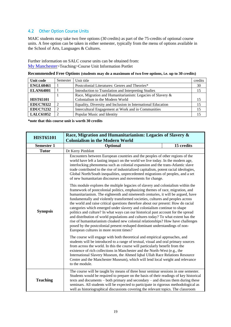# 4.2 Other Option Course Units

MAIC students may take two free options (30 credits) as part of the 75-credits of optional course units. A free option can be taken in either semester, typically from the menu of options available in the School of Arts, Languages & Cultures.

Further information on SALC course units can be obtained from: [My Manchester](https://my.manchester.ac.uk/)>Teaching>Course Unit Information Portlet

|  |  |  | Recommended Free Options (students may do a maximum of two free options, i.e. up to 30 credits) |
|--|--|--|-------------------------------------------------------------------------------------------------|
|--|--|--|-------------------------------------------------------------------------------------------------|

| Unit code        | Semester | Unit title                                                   | credits |
|------------------|----------|--------------------------------------------------------------|---------|
| <b>ENGL60461</b> |          | Postcolonial Literatures: Genres and Theories*               | 30      |
| <b>ELAN64001</b> |          | Introduction to Translation and Interpreting Studies         | 15      |
|                  |          | Race, Migration and Humanitarianism: Legacies of Slavery &   |         |
| <b>HIST65101</b> |          | Colonialism in the Modern World                              | 15      |
| <b>EDUC70322</b> | 2        | Equality, Diversity and Inclusion in International Education | 15      |
| <b>EDUC71232</b> | 2        | Intercultural Engagement at Work and in Communities          | 15      |
| <b>LALC61052</b> | 2        | Popular Music and Identity                                   | 15      |

**\*note that this course unit is worth 30 credits**

| <b>HIST65101</b>                                                                                                                                                                                                                                                                                                                                                                                                                                                                                                                                                                                                                                                                                                                                                                                                                                                                                                                                                                                                                                                                                                                                                                                                                                                                                                                                                                                                 | Race, Migration and Humanitarianism: Legacies of Slavery &<br><b>Colonialism in the Modern World</b>                                                                                                                                                                                                                                                                                                                                                                                                            |            |  |
|------------------------------------------------------------------------------------------------------------------------------------------------------------------------------------------------------------------------------------------------------------------------------------------------------------------------------------------------------------------------------------------------------------------------------------------------------------------------------------------------------------------------------------------------------------------------------------------------------------------------------------------------------------------------------------------------------------------------------------------------------------------------------------------------------------------------------------------------------------------------------------------------------------------------------------------------------------------------------------------------------------------------------------------------------------------------------------------------------------------------------------------------------------------------------------------------------------------------------------------------------------------------------------------------------------------------------------------------------------------------------------------------------------------|-----------------------------------------------------------------------------------------------------------------------------------------------------------------------------------------------------------------------------------------------------------------------------------------------------------------------------------------------------------------------------------------------------------------------------------------------------------------------------------------------------------------|------------|--|
| <b>Semester 1</b>                                                                                                                                                                                                                                                                                                                                                                                                                                                                                                                                                                                                                                                                                                                                                                                                                                                                                                                                                                                                                                                                                                                                                                                                                                                                                                                                                                                                | Optional                                                                                                                                                                                                                                                                                                                                                                                                                                                                                                        | 15 credits |  |
| <b>Tutor</b>                                                                                                                                                                                                                                                                                                                                                                                                                                                                                                                                                                                                                                                                                                                                                                                                                                                                                                                                                                                                                                                                                                                                                                                                                                                                                                                                                                                                     | Dr Kerry Pimblott                                                                                                                                                                                                                                                                                                                                                                                                                                                                                               |            |  |
| Encounters between European countries and the peoples of other regions of the<br>world have left a lasting impact on the world we live today. In the modern age,<br>interlocking phenomena such as colonial expansion and the trans-Atlantic slave<br>trade contributed to the rise of industrialized capitalism, potent racial ideologies,<br>Global North/South inequalities, unprecedented migrations of peoples, and a set<br>of new humanitarian discourses and movements for change.<br>This module explores the multiple legacies of slavery and colonialism within the<br>framework of postcolonial politics, emphasizing themes of race, migration, and<br>humanitarianism. The eighteenth and nineteenth centuries, it will be argued, have<br>fundamentally and violently transformed societies, cultures and peoples across<br>the world and raise critical questions therefore about our present: How do racial<br>categories which emerged under slavery and colonialism continue to shape<br><b>Synopsis</b><br>politics and culture? In what ways can our historical past account for the spread<br>and distribution of world populations and cultures today? To what extent has the<br>rise of humanitarianism cloaked new colonial relationships? How have challenges<br>posed by the postcolonial present reshaped dominant understandings of non-<br>European cultures in more recent times? |                                                                                                                                                                                                                                                                                                                                                                                                                                                                                                                 |            |  |
|                                                                                                                                                                                                                                                                                                                                                                                                                                                                                                                                                                                                                                                                                                                                                                                                                                                                                                                                                                                                                                                                                                                                                                                                                                                                                                                                                                                                                  | The course will engage with both theoretical and empirical approaches, and<br>students will be introduced to a range of textual, visual and oral primary sources<br>from across the world. In this the course will particularly benefit from the<br>existence of rich collections in Manchester and the North-West (e.g., the<br>International Slavery Museum, the Ahmed Iqbal Ullah Race Relations Resource<br>Centre and the Manchester Museum), which will lend local weight and relevance<br>to the module. |            |  |
| <b>Teaching</b>                                                                                                                                                                                                                                                                                                                                                                                                                                                                                                                                                                                                                                                                                                                                                                                                                                                                                                                                                                                                                                                                                                                                                                                                                                                                                                                                                                                                  | The course will be taught by means of three hour seminar sessions in one semester.<br>Students would be required to prepare on the basis of their readings of key historical<br>texts and documents – both primary and secondary – and discuss them during these<br>seminars. All students will be expected to participate in rigorous methodological as<br>well as historiographical discussions covering the relevant topics. The classroom                                                                   |            |  |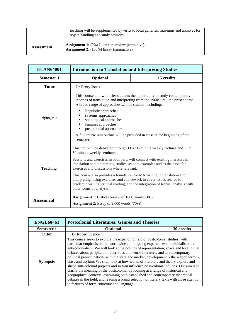|            | teaching will be supplemented by visits to local galleries, museums and archives for<br>object handling and study sessions. |
|------------|-----------------------------------------------------------------------------------------------------------------------------|
| Assessment | <b>Assignment 1:</b> (0%) Literature review (formative)<br><b>Assignment 2:</b> (100%) Essay (summative)                    |

| <b>ELAN64001</b>  | <b>Introduction to Translation and Interpreting Studies</b>                                                                                                                                                                                                                                                                                                                                                                                                                                                                                                                                                  |            |  |  |
|-------------------|--------------------------------------------------------------------------------------------------------------------------------------------------------------------------------------------------------------------------------------------------------------------------------------------------------------------------------------------------------------------------------------------------------------------------------------------------------------------------------------------------------------------------------------------------------------------------------------------------------------|------------|--|--|
| <b>Semester 1</b> | <b>Optional</b>                                                                                                                                                                                                                                                                                                                                                                                                                                                                                                                                                                                              | 15 credits |  |  |
| <b>Tutor</b>      | Dr Henry Jones                                                                                                                                                                                                                                                                                                                                                                                                                                                                                                                                                                                               |            |  |  |
| <b>Synopsis</b>   | This course unit will offer students the opportunity to study contemporary<br>theories of translation and interpreting from the 1960s until the present time.<br>A broad range of approaches will be studied, including:<br>linguistic approaches<br>systems approaches<br>sociological approaches<br>feminist approaches<br>postcolonial approaches.<br>A full course unit outline will be provided in class at the beginning of the<br>semester.                                                                                                                                                           |            |  |  |
| <b>Teaching</b>   | This unit will be delivered through $11 \times 50$ -minute weekly lectures and $11 \times$<br>50-minute weekly seminars.<br>Sessions and exercises in both parts will connect with existing literature in<br>translation and interpreting studies, as both examples and as the basis for<br>exercises and discussions where relevant.<br>This course also provides a foundation for MA writing in translation and<br>interpreting, using exercises and coursework to cover issues related to<br>academic writing, critical reading, and the integration of textual analysis with<br>other forms of analysis. |            |  |  |
| <b>Assessment</b> | <b>Assignment 1:</b> Critical review of 1000 words (30%)<br><b>Assignment 2:</b> Essay of 2,000 words (70%)                                                                                                                                                                                                                                                                                                                                                                                                                                                                                                  |            |  |  |

| <b>ENGL60461</b>  | <b>Postcolonial Literatures: Genres and Theories</b>                                                                                                                                                                                                                                                                                                                                                                                                                                                                                                                                                                                                                                                                                                                                                                                                                                                                                            |            |
|-------------------|-------------------------------------------------------------------------------------------------------------------------------------------------------------------------------------------------------------------------------------------------------------------------------------------------------------------------------------------------------------------------------------------------------------------------------------------------------------------------------------------------------------------------------------------------------------------------------------------------------------------------------------------------------------------------------------------------------------------------------------------------------------------------------------------------------------------------------------------------------------------------------------------------------------------------------------------------|------------|
| <b>Semester 1</b> | <b>Optional</b>                                                                                                                                                                                                                                                                                                                                                                                                                                                                                                                                                                                                                                                                                                                                                                                                                                                                                                                                 | 30 credits |
| Tutor             | Dr Robert Spencer                                                                                                                                                                                                                                                                                                                                                                                                                                                                                                                                                                                                                                                                                                                                                                                                                                                                                                                               |            |
| <b>Synopsis</b>   | This course seeks to explore the expanding field of postcolonial studies, with<br>particular emphasis on the worldwide and ongoing experiences of colonialism and<br>anti-colonialism. We will look at the politics of representation, space and location; at<br>debates about peripheral modernities and world literature; and at contemporary<br>political preoccupations with the state, the market, development, - the war on terror -,<br>class and asylum. We shall look at how works of literature and theory explore and<br>shape anti-colonial projects and in turn influence post-colonial politics. Our aim is to<br>clarify the meaning of the postcolonial by looking at a range of historical and<br>geographical contexts, examining both established and contemporary theoretical<br>debates in the field, and reading a broad selection of literary texts with close attention<br>to features of form, structure and language. |            |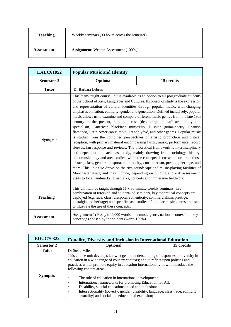| <b>Teaching</b> | Weekly seminars (33 hours across the semester) |
|-----------------|------------------------------------------------|
| Assessment      | <b>Assignment:</b> Written Assessment (100%)   |

| <b>LALC61052</b>  | <b>Popular Music and Identity</b>                                                                                                                                                                                                                                                                                                                                                                                                                                                                                                                                                                                                                                                                                                                                                                                                                                                                                                                                                                                                                                                                                                                                                                                                                                                                                                                                                                                                                          |            |  |
|-------------------|------------------------------------------------------------------------------------------------------------------------------------------------------------------------------------------------------------------------------------------------------------------------------------------------------------------------------------------------------------------------------------------------------------------------------------------------------------------------------------------------------------------------------------------------------------------------------------------------------------------------------------------------------------------------------------------------------------------------------------------------------------------------------------------------------------------------------------------------------------------------------------------------------------------------------------------------------------------------------------------------------------------------------------------------------------------------------------------------------------------------------------------------------------------------------------------------------------------------------------------------------------------------------------------------------------------------------------------------------------------------------------------------------------------------------------------------------------|------------|--|
| <b>Semester 2</b> | Optional                                                                                                                                                                                                                                                                                                                                                                                                                                                                                                                                                                                                                                                                                                                                                                                                                                                                                                                                                                                                                                                                                                                                                                                                                                                                                                                                                                                                                                                   | 15 credits |  |
| <b>Tutor</b>      | Dr Barbara Lebrun                                                                                                                                                                                                                                                                                                                                                                                                                                                                                                                                                                                                                                                                                                                                                                                                                                                                                                                                                                                                                                                                                                                                                                                                                                                                                                                                                                                                                                          |            |  |
| <b>Synopsis</b>   | This team-taught course unit is available as an option to all postgraduate students<br>of the School of Arts, Languages and Cultures. Its object of study is the expression<br>and representation of cultural identities through popular music, with changing<br>emphases on nation, ethnicity, gender and generation. Defined inclusively, popular<br>music allows us to examine and compare different music genres from the late 19th<br>century to the present, ranging across (depending on staff availability and<br>specialism) American blackface minstrelsy, Russian guitar-poetry, Spanish<br>flamenco, Latin American cumbia, French yéyé, and other genres. Popular music<br>is studied from the combined perspectives of artistic production and critical<br>reception, with primary material encompassing lyrics, music, performance, record<br>sleeves, fan response and reviews. The theoretical framework is interdisciplinary<br>and dependent on each case-study, mainly drawing from sociology, history,<br>ethnomusicology and area studies, while the concepts discussed incorporate those<br>of race, class, gender, diaspora, authenticity, consumerism, prestige, heritage, and<br>more. This unit also draws on the rich soundscape and music-playing facilities of<br>Manchester itself, and may include, depending on funding and risk assessment,<br>visits to local landmarks, guest talks, concerts and immersive fieldwork. |            |  |
| <b>Teaching</b>   | This unit will be taught through 11 x 80-minute weekly seminars. In a<br>combination of tutor-led and student-led seminars, key theoretical concepts are<br>deployed (e.g. race, class, diaspora, authenticity, commercialism, prestige,<br>nostalgia and heritage) and specific case-studies of popular music genres are used<br>to illustrate the use of these concepts.                                                                                                                                                                                                                                                                                                                                                                                                                                                                                                                                                                                                                                                                                                                                                                                                                                                                                                                                                                                                                                                                                 |            |  |
| <b>Assessment</b> | <b>Assignment 1:</b> Essay of 4,000 words on a music genre, national context and key<br>concept(s) chosen by the student (worth 100%).                                                                                                                                                                                                                                                                                                                                                                                                                                                                                                                                                                                                                                                                                                                                                                                                                                                                                                                                                                                                                                                                                                                                                                                                                                                                                                                     |            |  |

| <b>EDUC70322</b>  | <b>Equality, Diversity and Inclusion in International Education</b>                                                                                                                                                                                                                                                                  |            |  |
|-------------------|--------------------------------------------------------------------------------------------------------------------------------------------------------------------------------------------------------------------------------------------------------------------------------------------------------------------------------------|------------|--|
| <b>Semester 2</b> | <b>Optional</b>                                                                                                                                                                                                                                                                                                                      | 15 credits |  |
| Tutor             | Dr Susie Miles                                                                                                                                                                                                                                                                                                                       |            |  |
|                   | This course unit develops knowledge and understanding of responses to diversity in<br>education in a wide range of country contexts; and to reflect upon policies and<br>practices which promote equity in education internationally. It will introduce the<br>following content areas:                                              |            |  |
| <b>Synopsis</b>   | The role of education in international development;<br>٠<br>International frameworks for promoting Education for All;<br>٠<br>Disability, special educational need and inclusion;<br>٠<br>Intersectionality (poverty, gender, disability, language, class, race, ethnicity,<br>٠<br>sexuality) and social and educational exclusion; |            |  |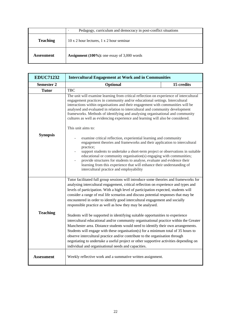|                 | Pedagogy, curriculum and democracy in post-conflict situations |  |
|-----------------|----------------------------------------------------------------|--|
| <b>Teaching</b> | 10 x 2 hour lectures, 1 x 2 hour seminar                       |  |
| Assessment      | <b>Assignment</b> ( $100\%$ ): one essay of 3,000 words        |  |

| <b>EDUC71232</b>  | <b>Intercultural Engagement at Work and in Communities</b>                                                                                                                                                                                                                                                                                                                                                                                                                                                                                                                                                                                                                                                                                                                                                                                                   |            |  |
|-------------------|--------------------------------------------------------------------------------------------------------------------------------------------------------------------------------------------------------------------------------------------------------------------------------------------------------------------------------------------------------------------------------------------------------------------------------------------------------------------------------------------------------------------------------------------------------------------------------------------------------------------------------------------------------------------------------------------------------------------------------------------------------------------------------------------------------------------------------------------------------------|------------|--|
| <b>Semester 2</b> | Optional                                                                                                                                                                                                                                                                                                                                                                                                                                                                                                                                                                                                                                                                                                                                                                                                                                                     | 15 credits |  |
| <b>Tutor</b>      | <b>TBC</b>                                                                                                                                                                                                                                                                                                                                                                                                                                                                                                                                                                                                                                                                                                                                                                                                                                                   |            |  |
|                   | The unit will examine learning from critical reflection on experience of intercultural<br>engagement practices in community and/or educational settings. Intercultural<br>interactions within organisations and their engagement with communities will be<br>analysed and evaluated in relation to intercultural and community development<br>frameworks. Methods of identifying and analysing organisational and community<br>cultures as well as evidencing experience and learning will also be considered.<br>This unit aims to:                                                                                                                                                                                                                                                                                                                         |            |  |
| <b>Synopsis</b>   | examine critical reflection, experiential learning and community<br>engagement theories and frameworks and their application to intercultural<br>practice;<br>support students to undertake a short-term project or observations in suitable<br>educational or community organisation(s) engaging with communities;<br>provide structures for students to analyse, evaluate and evidence their<br>learning from this experience that will enhance their understanding of<br>intercultural practice and employability                                                                                                                                                                                                                                                                                                                                         |            |  |
| <b>Teaching</b>   | Tutor facilitated full group sessions will introduce some theories and frameworks for<br>analysing intercultural engagement, critical reflection on experience and types and<br>levels of participation. With a high level of participation expected, students will<br>consider a range of real life scenarios and discuss potential responses that may be<br>encountered in order to identify good intercultural engagement and socially<br>responsible practice as well as how they may be analysed.<br>Students will be supported in identifying suitable opportunities to experience<br>intercultural educational and/or community organisational practice within the Greater<br>Manchester area. Distance students would need to identify their own arrangements.<br>Students will engage with these organisation(s) for a minimum total of 35 hours to |            |  |
| <b>Assessment</b> | observe intercultural practice and/or contribute to the organisation through<br>negotiating to undertake a useful project or other supportive activities depending on<br>individual and organisational needs and capacities.<br>Weekly reflective work and a summative written assignment.                                                                                                                                                                                                                                                                                                                                                                                                                                                                                                                                                                   |            |  |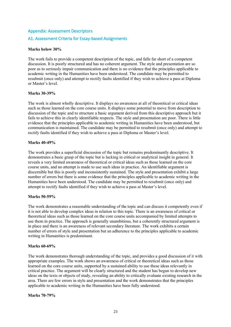# Appendix: Assessment Descriptors A1. Assessment Criteria for Essay-based Assignments

#### **Marks below 30%**

The work fails to provide a competent description of the topic, and falls far short of a competent discussion. It is poorly structured and has no coherent argument. The style and presentation are so poor as to seriously impair communication and there is no evidence that the principles applicable to academic writing in the Humanities have been understood. The candidate may be permitted to resubmit (once only) and attempt to rectify faults identified if they wish to achieve a pass at Diploma or Master's level.

#### **Marks 30-39%**

The work is almost wholly descriptive. It displays no awareness at all of theoretical or critical ideas such as those learned on the core course units. It displays some potential to move from description to discussion of the topic and to structure a basic argument derived from this descriptive approach but it fails to achieve this in clearly identifiable respects. The style and presentation are poor. There is little evidence that the principles applicable to academic writing in Humanities have been understood, but communication is maintained. The candidate may be permitted to resubmit (once only) and attempt to rectify faults identified if they wish to achieve a pass at Diploma or Master's level.

#### **Marks 40-49%**

The work provides a superficial discussion of the topic but remains predominantly descriptive. It demonstrates a basic grasp of the topic but is lacking in critical or analytical insight in general. It reveals a very limited awareness of theoretical or critical ideas such as those learned on the core course units, and no attempt is made to use such ideas in practice. An identifiable argument is discernible but this is poorly and inconsistently sustained. The style and presentation exhibit a large number of errors but there is some evidence that the principles applicable to academic writing in the Humanities have been understood. The candidate may be permitted to resubmit (once only) and attempt to rectify faults identified if they wish to achieve a pass at Master's level.

#### **Marks 50-59%**

The work demonstrates a reasonable understanding of the topic and can discuss it competently even if it is not able to develop complex ideas in relation to this topic. There is an awareness of critical or theoretical ideas such as those learned on the core course units accompanied by limited attempts to use them in practice. The approach is generally unambitious, but a coherently structured argument is in place and there is an awareness of relevant secondary literature. The work exhibits a certain number of errors of style and presentation but an adherence to the principles applicable to academic writing in Humanities is predominant.

#### **Marks 60-69%**

The work demonstrates thorough understanding of the topic, and provides a good discussion of it with appropriate examples. The work shows an awareness of critical or theoretical ideas such as those learned on the core course units, supported by a sustained ability to use these ideas relevantly in critical practice. The argument will be clearly structured and the student has begun to develop new ideas on the texts or objects of study, revealing an ability to critically evaluate existing research in the area. There are few errors in style and presentation and the work demonstrates that the principles applicable to academic writing in the Humanities have been fully understood.

#### **Marks 70-79%**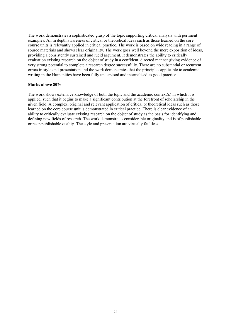The work demonstrates a sophisticated grasp of the topic supporting critical analysis with pertinent examples. An in depth awareness of critical or theoretical ideas such as those learned on the core course units is relevantly applied in critical practice. The work is based on wide reading in a range of source materials and shows clear originality. The work goes well beyond the mere exposition of ideas, providing a consistently sustained and lucid argument. It demonstrates the ability to critically evaluation existing research on the object of study in a confident, directed manner giving evidence of very strong potential to complete a research degree successfully. There are no substantial or recurrent errors in style and presentation and the work demonstrates that the principles applicable to academic writing in the Humanities have been fully understood and internalised as good practice.

#### **Marks above 80%**

The work shows extensive knowledge of both the topic and the academic context(s) in which it is applied, such that it begins to make a significant contribution at the forefront of scholarship in the given field. A complex, original and relevant application of critical or theoretical ideas such as those learned on the core course unit is demonstrated in critical practice. There is clear evidence of an ability to critically evaluate existing research on the object of study as the basis for identifying and defining new fields of research. The work demonstrates considerable originality and is of publishable or near-publishable quality. The style and presentation are virtually faultless.